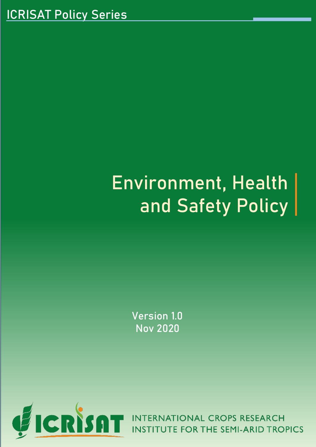# Environment, Health and Safety Policy

Version 1.0 Nov 2020



**ERNATIONAL CROPS RESEARCH** UTE FOR THE SEMI-ARID TROPICS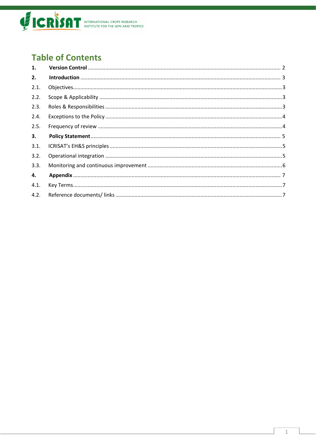

# **Table of Contents**

| 1.   |  |
|------|--|
| 2.   |  |
| 2.1. |  |
| 2.2. |  |
| 2.3. |  |
| 2.4. |  |
| 2.5. |  |
| 3.   |  |
| 3.1. |  |
| 3.2. |  |
| 3.3. |  |
| 4.   |  |
| 4.1. |  |
| 4.2. |  |
|      |  |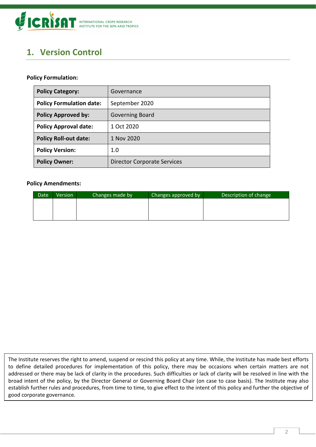

# <span id="page-2-0"></span>**1. Version Control**

#### **Policy Formulation:**

| <b>Policy Category:</b>         | Governance                         |
|---------------------------------|------------------------------------|
| <b>Policy Formulation date:</b> | September 2020                     |
| <b>Policy Approved by:</b>      | <b>Governing Board</b>             |
| <b>Policy Approval date:</b>    | 1 Oct 2020                         |
| <b>Policy Roll-out date:</b>    | 1 Nov 2020                         |
| <b>Policy Version:</b>          | 1.0                                |
| <b>Policy Owner:</b>            | <b>Director Corporate Services</b> |

#### **Policy Amendments:**

| Date | Version | Changes made by | Changes approved by | Description of change |
|------|---------|-----------------|---------------------|-----------------------|
|      |         |                 |                     |                       |
|      |         |                 |                     |                       |
|      |         |                 |                     |                       |

The Institute reserves the right to amend, suspend or rescind this policy at any time. While, the Institute has made best efforts to define detailed procedures for implementation of this policy, there may be occasions when certain matters are not addressed or there may be lack of clarity in the procedures. Such difficulties or lack of clarity will be resolved in line with the broad intent of the policy, by the Director General or Governing Board Chair (on case to case basis). The Institute may also establish further rules and procedures, from time to time, to give effect to the intent of this policy and further the objective of good corporate governance.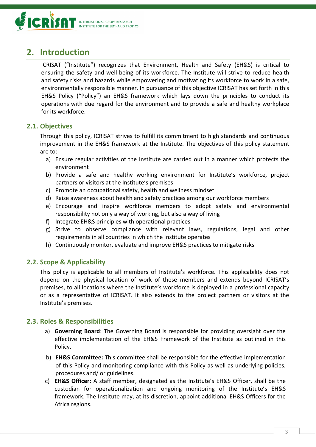

## <span id="page-3-0"></span>**2. Introduction**

ICRISAT ("Institute") recognizes that Environment, Health and Safety (EH&S) is critical to ensuring the safety and well-being of its workforce. The Institute will strive to reduce health and safety risks and hazards while empowering and motivating its workforce to work in a safe, environmentally responsible manner. In pursuance of this objective ICRISAT has set forth in this EH&S Policy ("Policy") an EH&S framework which lays down the principles to conduct its operations with due regard for the environment and to provide a safe and healthy workplace for its workforce.

### <span id="page-3-1"></span>**2.1. Objectives**

Through this policy, ICRISAT strives to fulfill its commitment to high standards and continuous improvement in the EH&S framework at the Institute. The objectives of this policy statement are to:

- a) Ensure regular activities of the Institute are carried out in a manner which protects the environment
- b) Provide a safe and healthy working environment for Institute's workforce, project partners or visitors at the Institute's premises
- c) Promote an occupational safety, health and wellness mindset
- d) Raise awareness about health and safety practices among our workforce members
- e) Encourage and inspire workforce members to adopt safety and environmental responsibility not only a way of working, but also a way of living
- f) Integrate EH&S principles with operational practices
- g) Strive to observe compliance with relevant laws, regulations, legal and other requirements in all countries in which the Institute operates
- h) Continuously monitor, evaluate and improve EH&S practices to mitigate risks

### <span id="page-3-2"></span>**2.2. Scope & Applicability**

This policy is applicable to all members of Institute's workforce. This applicability does not depend on the physical location of work of these members and extends beyond ICRISAT's premises, to all locations where the Institute's workforce is deployed in a professional capacity or as a representative of ICRISAT. It also extends to the project partners or visitors at the Institute's premises.

### <span id="page-3-3"></span>**2.3. Roles & Responsibilities**

- a) **Governing Board**: The Governing Board is responsible for providing oversight over the effective implementation of the EH&S Framework of the Institute as outlined in this Policy.
- b) **EH&S Committee:** This committee shall be responsible for the effective implementation of this Policy and monitoring compliance with this Policy as well as underlying policies, procedures and/ or guidelines.
- c) **EH&S Officer:** A staff member, designated as the Institute's EH&S Officer, shall be the custodian for operationalization and ongoing monitoring of the Institute's EH&S framework. The [Institute may, at its discretion, appoint additional EH&S Officers for the](#page-7-1)  [Africa regions.](#page-7-1)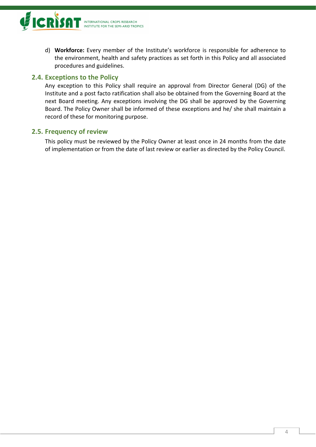

d) **Workforce:** Every member of the Institute's workforce is responsible for adherence to the environment, health and safety practices as set forth in this Policy and all associated procedures and guidelines.

## <span id="page-4-0"></span>**2.4. Exceptions to the Policy**

Any exception to this Policy shall require an approval from Director General (DG) of the Institute and a post facto ratification shall also be obtained from the Governing Board at the next Board meeting. Any exceptions involving the DG shall be approved by the Governing Board. The Policy Owner shall be informed of these exceptions and he/ she shall maintain a record of these for monitoring purpose.

#### <span id="page-4-1"></span>**2.5. Frequency of review**

This policy must be reviewed by the Policy Owner at least once in 24 months from the date of implementation or from the date of last review or earlier as directed by the Policy Council.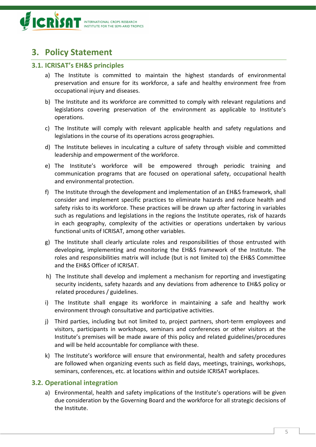

## <span id="page-5-0"></span>**3. Policy Statement**

#### <span id="page-5-1"></span>**3.1. ICRISAT's EH&S principles**

- a) The Institute is committed to maintain the highest standards of environmental preservation and ensure for its workforce, a safe and healthy environment free from occupational injury and diseases.
- b) The Institute and its workforce are committed to comply with relevant regulations and legislations covering preservation of the environment as applicable to Institute's operations.
- c) The Institute will comply with relevant applicable health and safety regulations and legislations in the course of its operations across geographies.
- d) The Institute believes in inculcating a culture of safety through visible and committed leadership and empowerment of the workforce.
- e) The Institute's workforce will be empowered through periodic training and communication programs that are focused on operational safety, occupational health and environmental protection.
- f) The Institute through the development and implementation of an EH&S framework, shall consider and implement specific practices to eliminate hazards and reduce health and safety risks to its workforce. These practices will be drawn up after factoring in variables such as regulations and legislations in the regions the Institute operates, risk of hazards in each geography, complexity of the activities or operations undertaken by various functional units of ICRISAT, among other variables.
- g) The Institute shall clearly articulate roles and responsibilities of those entrusted with developing, implementing and monitoring the EH&S framework of the Institute. The roles and responsibilities matrix will include (but is not limited to) the EH&S Committee and the EH&S Officer of ICRISAT.
- h) The Institute shall develop and implement a mechanism for reporting and investigating security incidents, safety hazards and any deviations from adherence to EH&S policy or related procedures / guidelines.
- i) The Institute shall engage its workforce in maintaining a safe and healthy work environment through consultative and participative activities.
- j) Third parties, including but not limited to, project partners, short-term employees and visitors, participants in workshops, seminars and conferences or other visitors at the Institute's premises will be made aware of this policy and related guidelines/procedures and will be held accountable for compliance with these.
- k) The Institute's workforce will ensure that environmental, health and safety procedures are followed when organizing events such as field days, meetings, trainings, workshops, seminars, conferences, etc. at locations within and outside ICRISAT workplaces.

#### <span id="page-5-2"></span>**3.2. Operational integration**

a) Environmental, health and safety implications of the Institute's operations will be given due consideration by the Governing Board and the workforce for all strategic decisions of the Institute.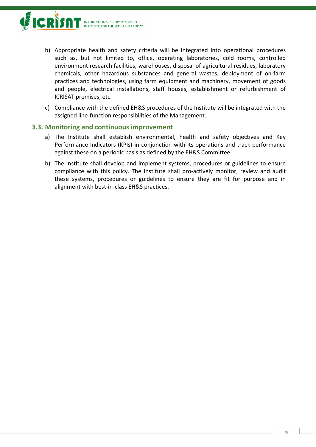

- b) Appropriate health and safety criteria will be integrated into operational procedures such as, but not limited to, office, operating laboratories, cold rooms, controlled environment research facilities, warehouses, disposal of agricultural residues, laboratory chemicals, other hazardous substances and general wastes, deployment of on-farm practices and technologies, using farm equipment and machinery, movement of goods and people, electrical installations, staff houses, establishment or refurbishment of ICRISAT premises, etc.
- c) Compliance with the defined EH&S procedures of the Institute will be integrated with the assigned line-function responsibilities of the Management.

#### <span id="page-6-0"></span>**3.3. Monitoring and continuous improvement**

- a) The Institute shall establish environmental, health and safety objectives and Key Performance Indicators (KPIs) in conjunction with its operations and track performance against these on a periodic basis as defined by the EH&S Committee.
- b) The Institute shall develop and implement systems, procedures or guidelines to ensure compliance with this policy. The Institute shall pro-actively monitor, review and audit these systems, procedures or guidelines to ensure they are fit for purpose and in alignment with best-in-class EH&S practices.